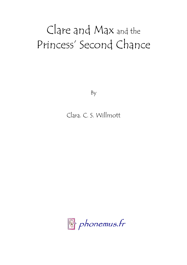# Clare and Max and the Princess' Second Chance

By

## Clara. C. S. Willmott

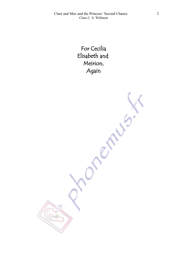For Cecilia Elisabeth and Meirion, Again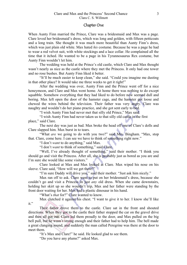#### Chapter One

When Aunty Finn married the Prince, Clare was a bridesmaid and Max was a page. Clare loved her bridesmaid's dress, which was long and golden, with fifteen petticoats and a long train. She thought it was much more beautiful than Aunty Finn's dress, which was just plain old white. Max hated *his* costume. Because he was a page he had to wear a red velvet suit, with white stockings and a lace collar. He complained all the time that it itched. He wanted to be a page in his Tyrannosaurus Rex costume, but Aunty Finn wouldn't let him.

The wedding was held at the Prince's old castle, which Clare and Max thought wasn't nearly as nice as the castle where they met the Princess. It only had one tower and no rose bushes. But Aunty Finn liked it better.

"It'll be much easier to keep clean," she said. "Could you imagine me dusting in that other place? It would take me three weeks to get it right!"

After the wedding was over, Aunty Finn and the Prince went off for a nice honeymoon, and Clare and Max went home. At home there was nothing to do except squabble. Somehow everything that they had liked to do before now seemed dull and boring. Max left open the door of the hamster cage, and the hamster got loose and chewed the wires behind the television. Their father was very angry. Clare was naughty and wouldn't do her piano practice, and she got sent early to bed.

"I wish Aunty Finn had never met that silly old Prince," Max said.

"I wish Aunty Finn had never taken us to that silly old castle in the first place," said Clare.

The next day was just as bad. Max broke the head off one of Clare's dolls and Clare slapped him. Max burst in to tears.

"What *are* we going to do with you two?" said Mrs. Bingham. "Max, stop that. Clare, come here. I can see we have to think of something right now."

"I don't *want* to do anything," said Max.

"I don't *want* to think of something," said Clare.

"Well, I've already thought of something," said their mother. "I think you should go and visit the Princess. After all, she is probably just as bored as you are and I'm sure she would like some visitors."

Clare looked at Max and Max looked at Clare. Max wiped his nose on his sleeve. Clare said, "How will we get there?"

"I'm sure Daddy will drive you," said their mother. "Just ask him nicely."

Max ran off to ask. Clare went to put on her bridesmaid's dress, because she couldn't go and visit a Princess in just *any* old dress. When she came downstairs, holding her skirt up so she wouldn't trip, Max and her father were standing by the front door waiting for her. Max had a plastic dinosaur in his hand.

"What's *that* for?" Clare wanted to know.

Max clutched it against his chest. "I want to give it to her. I know she'll like it."

Their father drove them to the castle. Clare sat in the front and shouted directions. When they got to the castle their father stopped the car on the gravel drive and then all got out. Clare led them proudly to the door, and Max pulled on the big bell pull, but he wasn't strong enough and their father had to help him. The bell made a great clanging sound, and suddenly the man called Peregrine was there at the door to meet them.

"It's Max and Clare!" he said. He looked glad to see them.

"Do you have any plums?" asked Max.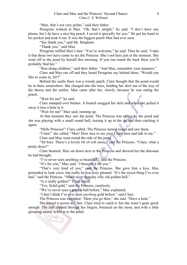"Max, that's not very polite," said their father.

Peregrine winked at Max. "Oh, that's alright," he said. "I don't have any plums, but I do have a nice big peach. I saved it specially for you." He put his hand in his pocket and took it out. It was the biggest peach Max had ever seen.

"Say thank you," said Mr. Bingham.

"Thank you," said Max.

Peregrine ruffled Max's hair. "You're welcome," he said. Then he said, "I take it that these two have come to see the Princess. She's not here just at the moment. She went off to the pond by herself this morning. If you run round the back there you'll probably find her."

"Run along children," said their father. "And Max, remember your manners."

Clare and Max ran off and they heard Peregrine say behind them, "Would you like to come in, Sir?"

Behind the castle there was a woody patch. Clare thought that the pond would be in there somewhere. She charged into the trees, holding her skirt out of the way of the thorns and the nettles. Max came after her, slowly, because he was eating the peach.

"Wait for me!" he said.

Clare stamped over bushes. A branch snagged her skirt and when she pulled it away it tore a hole in it.

"Wait for me!" Max said, running up.

At that moment they saw the pond. The Princess was sitting by the pond and she was playing with a small round ball, tossing it up in the air and then catching it again.

"Hello Princess!" Clare called. The Princess turned round and saw them.

"Clare!" she called. "Max! How nice to see you! Come here and talk to me."

Clare and Max went round the side of the pond.

"Sit here. There's a lovely bit of soft moss," said the Princess. "Clare, what a pretty dress!"

Clare beamed. Max sat down next to the Princess and showed her the dinosaur he had brought.

"I've never seen anything so beautiful," said the Princess.

"It's for you," Max said. "I brought it for you."

"That's very kind of you," said the Princess. She gave him a kiss. Max pretended to look cross, but really he was very pleased. "It's the nicest thing I've ever had," said the Princess. "Much nicer than my silly old golden ball."

"Is it really golden?" Clare asked.

"Yes. Solid gold," said the Princess, carelessly.

"We've never seen a golden ball before," Max explained.

"I don't think I've ever seen *anything* gold before," said Clare.

The Princess was surprised. "Here you go then," she said. "Have a look."

She tossed it across to Clare. Clare tried to catch it, but she wasn't quite quick enough. The ball slipped through her fingers, bounced on the moss, and with a little glooping sound, it fell in to the pond.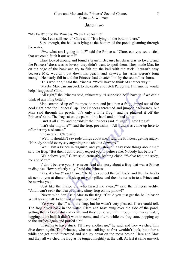#### Chapter Two

"My ball!" cried the Princess. "Now I've lost it!"

"No, I can still see it," Clare said. "It's lying on the bottom there."

Sure enough, the ball was lying at the bottom of the pond, gleaming through the water.

"*Now* what am I going to do?" said the Princess. "Clare, can you see a stick that we could fetch it out with?"

Clare looked around and found a branch. Because her dress was so lovely, and the Princess' dress was so lovely, they didn't want to spoil them. They made Max lie on the edge of the bank and try to fish out the ball with the stick. It wasn't easy because Max wouldn't put down his peach, and anyway, his arms weren't long enough. He nearly fell in and the Princess had to catch him by the seat of his shorts.

"This won't do," said the Princess. "We'll have to think of another way."

"Maybe Max can run back to the castle and fetch Peregrine. I'm sure he would help," suggested Clare.

"All right," the Princess said, reluctantly. "I supposed he'll have to if we can't think of anything better."

Max scrambled up off the moss to run, and just then a frog jumped out of the pool right onto the Princess' lap. The Princess screamed and jumped backwards, but Max said through his peach, "It's only a little frog!" and he plucked it off the Princess' skirt. The frog sat on the palm of his hand and blinked at him.

"Isn't it all slimy and horrible?" the Princess said. "Euggh! I hate frogs!"

"Isn't she impolite?" said the frog, peevishly. "All I did was come up here to offer her my assistance."

"It can talk!" Clare said.

"Well, it shouldn't say rude things about me," said the Princess, getting angry. "Nobody should every say anything rude about a *Princess*."

"Well, I'm a Prince in disguise, and you shouldn't say rude things about *me*," said the frog. "But then I don't really expect you to believe me. Nobody has before."

"We believe you," Clare said, earnestly, leaning close. "We've read the story, me and Max."

"*I* don't believe you. *I've* never read any story about a frog that was a Prince in disguise. How perfectly silly," said the Princess.

"Yes, it's true!" said Clare. "He helps you get the ball back, and then he has to sit next to you at dinner and sleep on your pillow and then he turns in to a Prince and he marries you."

"Just like the Prince did who kissed me awake?" said the Princess archly. "And I can't *bear* the idea of a nasty slimy frog on my pillow!"

"Never mind her," said Max to the frog. "Could you just get the ball please? We'll try and talk to her and change her mind."

"Very well then," said the frog, but he wasn't very pleased, Clare could tell. The frog dived back in the water. Clare and Max hung over the side of the pond, getting their clothes dirty after all, and they could see him through the murky water, tugging at the ball. It didn't want to come, and after a while the frog came popping up to the surface again and puffed a bit.

"It seems to have stuck. I'll have another go," he said, and they watched him dive down again. The Princess, who was sulking, at first wouldn't look, but after a while she got quite interested and she lay down on the moss beside Clare and Max and they all watched the frog as he tugged mightily at the ball. At last it came unstuck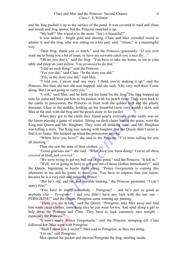and the frog pushed it up to the surface of the pond. It was covered in mud and slime and weeds and frog spawn, but the Princess snatched it up.

"My ball!" She wiped it in the moss. "Isn't it beautiful?"

It was indeed – bright gold and shining. Clare and Max crowded round to admire it, and the frog, who was sitting on a lily pad, said, "Ahem," in a meaningful way.

"Dear frog, thank you *so* much," said the Princess, graciously. "If you ever want me to bring you a bit of meat, or have my servants catch you a nice fly..."

"Oh no you don't," said the frog. "You have to take me home, to eat at your table and sleep on your pillow. You *promised* to do that."

"I did no such thing!" said the Princess.

"Yes you did," said Clare. "In the story you did."

"Yes, in the story you did," said Max.

"I told you, *I* never read any story. I think you're making it up," said the Princess. But then she saw she was trapped, and she said, "Oh, very well then. Come along. But *I'm* not going to carry you."

"I will," said Max, and he held out his hand for the frog. The frog hopped up onto his palm and Max put him in his pocket, with his peach stone. They went back to the castle in procession, the Princess in front with the golden ball and the plastic dinosaur, Clare in the middle, holding up her beautiful (now very muddy) skirt, and Max at the end, with the frog and the peach stone in his pocket.

When they got to the castle they found nearly everyone at the castle was on the lawns playing a game of cricket. Sitting on deck chairs beside the grass, were the King and Queen and Mr. Bingham. They were all drinking wine, and Mr. Bingham was telling a story. The King was roaring with laughter, but the Queen didn't seem to find it so funny. She jumped up when the procession arrived.

"Where have you *been*?" she said to the Princess. "I've been calling for you all morning."

Then she saw the state of their clothes.

"Good gracious me!" she said. "What *have* you been doing! You're all three *covered* in mud, just *covered*."

"We were trying to get my ball out of the pond," said the Princess. "It fell in."

"Well, we're going to have to get you out of those clothes immediately!" said the Queen, beginning to hustle them along. "Prince Gorgonzola is coming this afternoon to tea and he wants to meet you. You have to impress him you know, because he is a very rich and powerful Prince."

"But he's old, and fat, and horrible-looking," the Princess protested. "I can't marry *him*!"

"You have to marry somebody – Peregrine! – and he's just as good as anybody else – *Peregrine!* – and you didn't have any luck with the last one – PEREGRINE!" said the Queen. Peregrine came running up, panting.

"There you are at last," said the Queen. "Peregrine, take Max away and find him some clean clothes, something nice he can wear for tea. And send along a girl to help dress the Princess and Clare. They have to look extremely nice tonight – especially the Princess."

"I *won't* marry Prince Gorgonzola," said the Princess stomping off. Clare followed her. Max went with Peregrine.

"Shall I show you a secret?" Max said to Peregrine, as they ran along.

"Go on," said Peregrine.

Max opened his pocket and showed Peregrine the frog, nestling inside.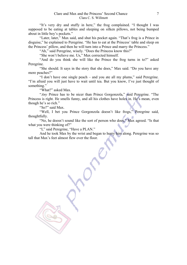"It's very dry and stuffy in here," the frog complained. "I thought I was supposed to be eating at tables and sleeping on silken pillows, not being bumped about in little boy's pockets."

"Later, later," Max said, and shut his pocket again. "That's frog is a Prince in disguise," he explained to Peregrine. "He has to eat at the Princess' table and sleep on the Princess' pillow, and then he will turn into a Prince and marry the Princess."

"Ah," said Peregrine, wisely. "Does the Princess know this?"

"She won't believe me. Us," Max corrected himself.

"And do you think she will like the Prince the frog turns in to?" asked Peregrine.

"She should. It says in the story that she does," Max said. "Do you have any more peaches?"

"I don't have one single peach – and you ate all my plums," said Peregrine. "I'm afraid you will just have to wait until tea. But you know, I've just thought of something."

"What?" asked Max.

"*Any* Prince has to be nicer than Prince Gorgonzola," said Peregrine. "The Princess is right. He smells funny, and all his clothes have holes in. He's mean, even though he's so rich."

"So?" said Max.

"Well, I bet you Prince Gorgonzola doesn't like frogs," Peregrine said, thoughtfully.

"No, he doesn't sound like the sort of person who does," Max agreed. "Is that what you were thinking of?"

"I," said Peregrine, "Have a PLAN."

And he took Max by the wrist and began to hurry him along. Peregrine was so tall that Max's feet almost flew over the floor.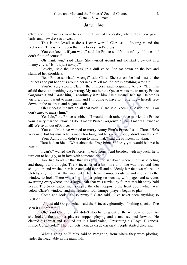#### Chapter Three

Clare and the Princess went to a different part of the castle, where they were given baths and new dresses to wear.

"This is the loveliest dress I ever wore!" Clare said, floating round the bedroom. "This is nicer even than my bridesmaid's dress!"

"You can keep it if you want," said the Princess. "It's one of my old ones – I don't fit it, of course."

"Oh thank you," said Clare. She twirled around and the skirt blew out in a foamy circle. "Isn't it just *lovely?*"

"Lovely," said the Princess, in a dull voice. She sat down on the bed and slumped her shoulders.

"Dear Princess, what's wrong?" said Clare. She sat on the bed next to the Princess and put her arms around her neck. "Tell me if there is anything wrong."

"You're very sweet, Clare," the Princess said, beginning to cry. "But I'm afraid there is something very wrong. My mother the Queen wants me to marry Prince Gorgonzola and I *hate* him, I absolutely *hate* him. He's mean. He's fat. He smells terrible. I don't want to marry him and I'm going to have to!" She threw herself face down on the mattress and began to sob.

"Oh Princess! It can't be all that bad!" Clare said, kneeling beside her. "You don't *have* to marry him."

"Yes I do," the Princess sobbed. "I would much rather have married the Prince" your Aunty married. Now if I don't marry Prince Gorgonzola I can't marry a Prince at all! We're all out of Princes!"

"You couldn't have wanted to marry Aunty Finn's Prince," said Clare. "He's very nice, but his mustache is much too long, and he's a bit droopy, don't you think?"

"Your Aunty Finn didn't seem to mind that," said the Princess, howling.

Clare had an idea. "What about the Frog Prince? If only you would believe in him!"

"I can't," wailed the Princess. "I *hate* frogs. And besides, with my luck, he'll turn out to be ugly, or in love with someone else."

Clare had to admit that that was true. She sat down where she was kneeling and thought and thought. The Princess cried a bit more until she was tired and then she got up and washed her face and said a spell and suddenly her face wasn't red or blotchy any more. At that moment, Clare heard trumpets outside and she ran to the window to look. There was a big hoo-ha going on outside, with pages and servants swarming everywhere, and a large chair that was carried by four men with shiny bald heads. The bald-headed men stopped the chair opposite the front door, which was below Clare's window, and immediately four trumpet players began to play.

"Come and look. It's so pretty!" Clare said. "I've never seen anything so pretty!"

"It's just old Gorgonzola," said the Princess, gloomily. "Nothing special. I've seen it all before."

"Oh," said Clare, but she didn't stop hanging out of the window to look. As she looked, the trumpet players stopped playing and a man stepped forward. He cleared his throat and shouted out in a loud voice, "Presenting his Royal Highness, Prince Gorgonzola!" The trumpets went da da de daaaaaa! People started cheering.

"What's going on?" Max said to Peregrine, from where they were plotting, under the head table in the main hall.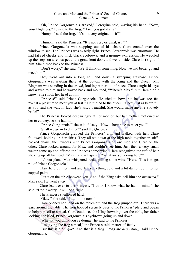"Oh, Prince Gorgonzola's arrived," Peregrine said, waving his hand. "Now, your Highness," he said to the frog, "Have you got it all?"

"Humph," said the frog. "It's not very original, is it?"

"Humph," said the Princess. "It's not very original, is it?"

Prince Gorgonzola was stepping out of his chair. Clare craned over the window to see. The Princess was exactly right. Prince Gorgonzola was enormous. He had fat red cheeks and thick black eyebrows, and a grumpy expression. He waddled up the steps on a red carpet to the great front door, and went inside. Clare lost sight of him. She turned back to the Princess.

"Don't worry," she said. "We'll think of something. Now we had better go and meet him."

They went out into a long hall and down a sweeping staircase. Prince Gorgonzola was waiting there at the bottom with the King and the Queen. Mr. Bingham was standing in the crowd, looking rather out of place. Clare caught his eye and waved to him and he waved back and mouthed, "Where's Max?" but Clare didn't know. She shook her head at him.

"Princess!" said Prince Gorgonzola. He tried to bow, but he was too fat. "What a pleasure to meet you at last!" He turned to the queen. "She's just as beautiful as you said she was. In fact, she's *more* beautiful. She would make anyone a lovely bride!"

The Princess looked despairingly at her mother, but her mother motioned at her to curtsey, so she had to.

"Prince Gorgonzola!" she said, falsely. "How – how nice to meet you!"

"Shall we go in to dinner?" said the Queen, smiling.

Prince Gorgonzola grabbed the Princess' arm and walked with her. Clare followed, holding up her skirts. They all sat down at the high table together in stiffbacked chairs, the Princess with Prince Gorgonzola on one side and Clare on the other. Clare looked around for Max, and couldn't see him. Just then a very small waiter came up and offered the Princess some wine. Clare recognized the tuft of hair sticking up off his head. "Max!" she whispered. "What are you doing here?"

"It's our plan," Max whispered back, spilling some wine. "Here. This is to get rid of Prince Gorgonzola."

Clare held out her hand and felt something cold and a bit damp hop in to her cupped palm.

"Put it on the table between you. And if the King asks, tell him she *promised,*" Max said. He went away.

Clare leant over to the Princess. "I think I know what he has in mind," she said. "Don't worry, it will be alright."

The Princess swallowed hard.

"Okay," she said. "Put him on now."

Clare opened her hand on the tablecloth and the frog jumped out. There was a gasp around the table. The frog hopped serenely over to the Princess' plate and began to help himself to a meal. Clare could see the King frowning over the table, her father looking horrified, Prince Gorgonzola's eyebrows going up and down.

"What *do* you think you're doing?" he said to the Princess.

"I'm giving the frog a meal," the Princess said, matter-of-factly.

"But this is a *banquet*. And that is a *frog*. Frogs are *disgusting*," said Prince Gorgonzola.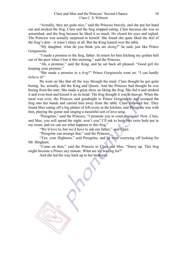"Actually, they are quite nice," said the Princess bravely, and she put her hand out and stroked the frog. Clare and the frog stopped eating, Clare because she was so astonished, and the frog because he liked it so much. He closed his eyes and sighed. The Princess was actually surprised at herself. She found she quite liked the feel of the frog's skin – it wasn't slimy at all. But the King leaned over the table.

"My daughter, what do you think you are *doing*?" he said, just like Prince Gorgonzola.

"I made a promise to the frog, father. In return for him fetching my golden ball out of the pool when I lost it this morning," said the Princess.

"Ah, a promise," said the King, and he sat back all pleased. "Good girl for keeping your promise."

"She made a promise to a *frog*?" Prince Gorgonzola went on. "I can hardly *believe* it!"

He went on like that all the way through the meal. Clare thought he got quite boring. So, actually, did the King and Queen. And the Princess had thought he was boring from the start. She made a great show on liking the frog. She fed it and stroked it and even bent and kissed it on its head. The frog thought it was in heaven. When the meal was over, the Princess said goodnight to Prince Gorgonzola and scooped the frog into her hands and carried him away from the table. Clare followed her. They found Max eating off a big platter of left-overs in the kitchen, and Peregrine was with him, playing the guitar and singing a mournful sort of love song.

"Peregrine," said the Princess, "I promote you to court musician! Now, Clare, and Max, you will spend the night, won't you? I'll ask to have two extra beds put in my room, and we can see what happens to this frog."

"We'd love to, but we'd have to ask our father," said Clare.

"Peregrine can arrange that," said the Princess.

"Yes, your Highness," said Peregrine, and he went scurrying off looking for Mr. Bingham.

"Come on then," said the Princess to Clare and Max. "Hurry up. This frog might become a Prince any minute. What are we waiting for?"

And she led the way back up to her bedroom.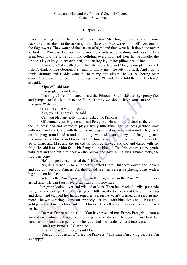### Chapter Four

It was all arranged that Clare and Max would stay. Mr. Bingham said he would come back to collect them in the morning, and Clare and Max waved him off from one of the flag towers. They watched the car out of sight and then went back down the tower to find the Princess' bedroom in turmoil. Servants were pushing and heaving two great beds into the same room and colliding every now and then. In the middle, the Princess lay calmly on her own bed, and the frog lay on her pillow beside her.

"You know," she called out when she saw Clare and Max, "Your plan worked. I don't think Prince Gorgonzola wants to marry me – he left in a huff. And I don't think Mummy and Daddy want me to marry him either. He was so boring over dinner." She gave the frog a little loving stroke. "I could have told them that before," she added.

"Yipeee!" said Max.

"I'm so glad," said Clare.

"I'm so glad I could dance!" said the Princess. She kicked up her pretty feet and jumped off the bed on to the floor. "I think we should have some music. Call Peregrine!" she said.

Peregrine came with his guitar.

"Yes, your Highness?" he said.

"Can you play any jolly music?" asked the Princess.

"Of course, your Highness," said Peregrine. He sat on the stool at the end of the Princess' bed and started to play a lively little tune. The Princess grabbed Max with one hand and Clare with the other and began to skip round and round. They went on skipping round and round until they were sick and dizzy and laughing, and Peregrine played faster and faster until his fingers were a blur. At last the Princess let go of Clare and Max and she picked up the frog instead and did and dance with the frog. He said it made him feel a bit funny but he liked it. The Princess was very gentle with him and she put him back on the pillow and gave him a kiss. Immediately, the frog was gone.

"He's jumped away!" cried the Princess.

"No, he's turned in to a Prince!" shouted Clare. But they looked and looked and couldn't see any Princes. All they could see was Peregrine playing away with a big smile on his face.

"Where's the Prince gone – I mean the frog – I mean the Prince?" the Princess asked him. "He can't just have disappeared into nowhere!"

Peregrine looked over and winked at Max. Then he stretched lazily, put aside his guitar and got up. The Princess gave a little muffled squeak and Clare jumped up and down and clapped her hands together. Peregrine wasn't dressed as a servant any more – he was wearing a gorgeous princely costume, with blue tights and a blue-andgold jacket, a flowing cloak and velvet boots. He knelt at the Princess' feet and kissed her hand.

"Dearest Princess," he said, "You have rescued me, Prince Peregrine, from a wicked enchantment, through your courage and kindness." He stood up and took her hands and looked down gently into her eyes and she suddenly burst into tears.

"Don't cry Princess," Clare said.

"Yes Princess, don't cry," said Max.

"You don't understand," cried the Princess. "This time I'm crying because I'm so happy!"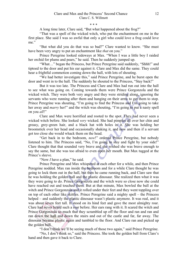#### \* \* \*

A long time later, Clare said, "But what happened about the frog?"

"That was a spell of the wicked witch, who put the enchantment on me in the first place. She said I was so awful that only a girl who could love a frog could love me."

"But what did you do that was so bad?" Clare wanted to know. "She must have been very angry to put an enchantment like *that* on you."

Prince Peregrine looked sideways at Max. "When I was a little boy I raided her orchid for plums and pears," he said. Then he suddenly jumped up.

"What…" began the Princess, but Prince Peregrine said suddenly, "Shhh!" and tiptoed to the door and put his ear against it. Clare and Max did the same. They could hear a frightful commotion coming down the hall, with lots of shouting.

"We had better investigate this," said Prince Peregrine, and he burst open the door and went in to the hall. The suddenly he shouted to the Princess, "Stay back!"

But it was too late. The Princess and Clare and Max had run out into the hall to see what was going on. Coming towards them were Prince Gorgonzola and the wicked witch. They were both very angry and they were striding along, ignoring the servants who were running after them and hanging on their arms to get them to stop. Prince Peregrine was shouting, "I'm going to find the Princess and I'm going to take her away and *marry* her!" and the witch was shouting, "I'm going to put a nasty spell on you *all*!"

Clare and Max were horrified and rooted to the spot. They had never seen a wicked witch before. She looked *very* wicked. She had pimples all over her chin and greasy, grey-green hair, and a black hat with holes in it. She was holding her broomstick over her head and occasionally shaking it, and now and then if a servant got too close she would whack them on the head.

"Get back in to the bedroom, *now*!" ordered Prince Peregrine, but nobody listened to him. The Princess said, "No, I'm going to stay and fight by your side!" Clare thought that that sounded very brave and she wished she was brave enough to say the same, but she was too afraid to even open her mouth. But Max tugged at the Prince's sleeve.

"Now *I* have a plan," he said.

Prince Peregrine and Max whispered at each other for a while, and then Prince Peregrine nodded. Max ran inside the bedroom and for a while Clare thought he was going to lock them out in the hall, but then he came running back, and Clare saw that he was holding the golden ball and the plastic dinosaur. She realized then what it was they were going to do. Prince Gorgonzola and the witch were so close now she could have reached out and touched them. But at that minute, Max bowled the ball at the witch and Prince Gorgonzola and it rolled under their feet and they went toppling over on top of each other like skittles. Prince Peregrine said a mighty spell – the Princess helped – and suddenly the plastic dinosaur wasn't plastic anymore. It was real, and it was about seven feet tall. It stood on its hind feet and gave the most almighty roar. Clare had never heard such a roar before. Her ears rang with it. It scared the witch and Prince Gorgonzola so much that they scrambled up off the floor and ran and ran and ran down the hall and down the stairs and out of the castle and far, far away. The dinosaur became plastic again and tumbled to the floor. And Clare ran and picked up the golden ball.

"I don't think we'll be seeing much of those two again," said Prince Peregrine.

"No, I don't think so," said the Princess. She took the golden ball from Clare's hand and then gave it back to Clare.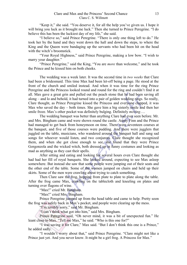"Keep it," she said. "You deserve it, for all the help you've given us. I hope it will bring you luck as it brought me luck." Then she turned to Prince Peregrine. "I do believe this has been the luckiest day of my life," she said.

"I believe so," said Prince Peregrine. "There is only one thing left to do." He took her by the hand and they went down the hall and down the steps, to where the King and the Queen were bandaging up the servants who had been hit on the head with the witch's broomstick.

"Your Royal Highness," said Prince Peregrine, making a low bow. "I wish to marry your daughter."

"Prince Peregrine," said the King, "You are *more* than welcome," and he took the Prince and he kissed him on both cheeks.

The wedding was a week later. It was the second time in *two weeks* that Clare had been a bridesmaid. This time Max had been let-off being a page. He stood at the front of the church and smiled instead. And when it was time for the ring Prince Peregrine and the Princess looked round and round for the ring and couldn't find it at all. Max gave a great grin and pulled out the peach stone that he had been saving all along – and lo and behold, it had turned into a pair of golden wedding rings. So really, Clare thought, as Prince Peregrine kissed the Princess and everyone clapped, it was Max who saved the day – both times. She gave him a big sisterly smile and then her smile froze. Max's other pocket was definitely bulging. Definitely *moving*….

The wedding banquet was better than anything Clare had ever seen before. Mr. and Mrs. Bingham came and were shown round the castle. Aunty Finn and the Prince had managed to get back from honeymoon on time. There were seventeen courses at the banquet, and five of those courses were pudding. And there were jugglers that juggled on the table, musicians, who wandered around the banquet hall and sang sad songs for whoever would listen, and two conjurors. Clare thought she recognized them, and when she got close enough to see, she found that they were Prince Gorgonzola and the wicked witch, both dressed up in funny costumes and looking as mad as anything as they cast their spells.

After sitting and eating and looking for several hours even Clare thought she had had her fill of royal banquets. She looked around, expecting to see Max asleep somewhere. But instead she saw that some people were jumping out of their seats and the other end of the table. Some of the women jumped on chairs and held up their skirts. Some of the men were crawling about trying to catch something.

Then Clare saw the frog, hopping from plate to plate to plate along the table. After the frog came Max, crawling on the tablecloth and kneeling on plates and turning over flagons of wine.

"Max!" cried Mr. Bingham.

"Max!" cried Mrs. Bingham.

Prince Peregrine jumped up from the head table and came to help. Pretty soon the frog was safely back in Max's pocket, and people were clearing up the mess.

"I'm terribly sorry," said Mr. Bingham.

"I can't think what got into him," said Mrs. Bingham.

Prince Peregrine said, "Oh never mind, it was a bit of unexpected fun." He leant close to Max. "Tell me Max," he said. "Who is this one for?"

"I was saving it for Clare," Max said. "But I don't think this one is a Prince," he added sadly.

"I wouldn't worry about that," said Prince Peregrine. "Clare might not like a Prince just yet. And you never know. It might be a girl frog. A Princess for Max."